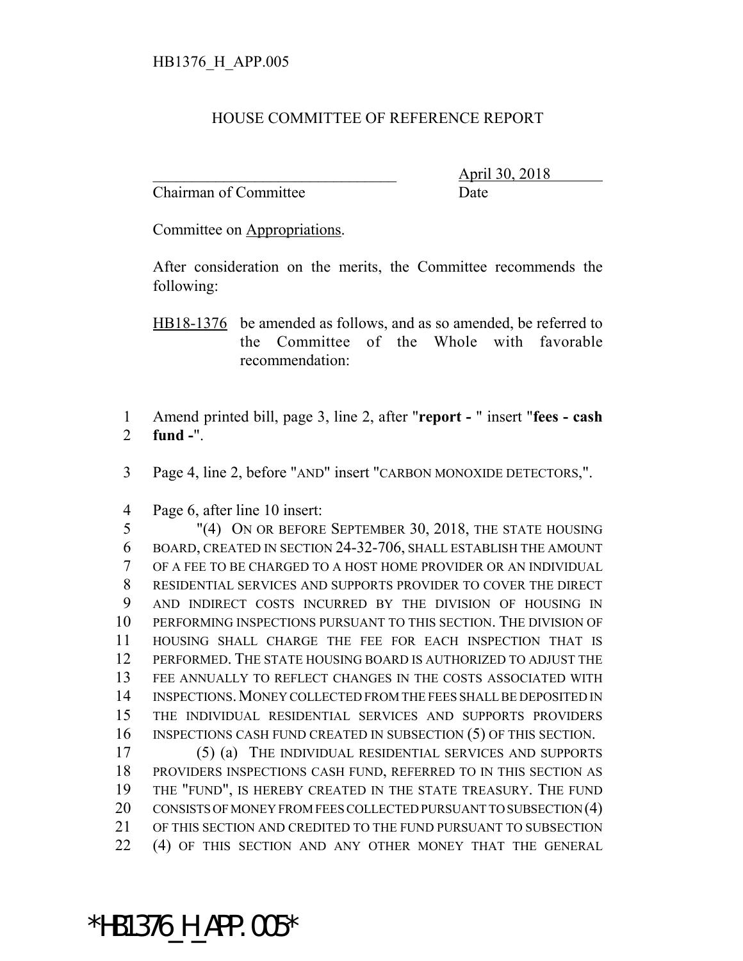## HOUSE COMMITTEE OF REFERENCE REPORT

Chairman of Committee Date

\_\_\_\_\_\_\_\_\_\_\_\_\_\_\_\_\_\_\_\_\_\_\_\_\_\_\_\_\_\_\_ April 30, 2018

Committee on Appropriations.

After consideration on the merits, the Committee recommends the following:

HB18-1376 be amended as follows, and as so amended, be referred to the Committee of the Whole with favorable recommendation:

 Amend printed bill, page 3, line 2, after "**report -** " insert "**fees - cash fund -**".

Page 4, line 2, before "AND" insert "CARBON MONOXIDE DETECTORS,".

Page 6, after line 10 insert:

 "(4) ON OR BEFORE SEPTEMBER 30, 2018, THE STATE HOUSING BOARD, CREATED IN SECTION 24-32-706, SHALL ESTABLISH THE AMOUNT OF A FEE TO BE CHARGED TO A HOST HOME PROVIDER OR AN INDIVIDUAL RESIDENTIAL SERVICES AND SUPPORTS PROVIDER TO COVER THE DIRECT AND INDIRECT COSTS INCURRED BY THE DIVISION OF HOUSING IN PERFORMING INSPECTIONS PURSUANT TO THIS SECTION. THE DIVISION OF HOUSING SHALL CHARGE THE FEE FOR EACH INSPECTION THAT IS PERFORMED. THE STATE HOUSING BOARD IS AUTHORIZED TO ADJUST THE FEE ANNUALLY TO REFLECT CHANGES IN THE COSTS ASSOCIATED WITH INSPECTIONS.MONEY COLLECTED FROM THE FEES SHALL BE DEPOSITED IN THE INDIVIDUAL RESIDENTIAL SERVICES AND SUPPORTS PROVIDERS INSPECTIONS CASH FUND CREATED IN SUBSECTION (5) OF THIS SECTION.

 (5) (a) THE INDIVIDUAL RESIDENTIAL SERVICES AND SUPPORTS PROVIDERS INSPECTIONS CASH FUND, REFERRED TO IN THIS SECTION AS THE "FUND", IS HEREBY CREATED IN THE STATE TREASURY. THE FUND CONSISTS OF MONEY FROM FEES COLLECTED PURSUANT TO SUBSECTION (4) OF THIS SECTION AND CREDITED TO THE FUND PURSUANT TO SUBSECTION (4) OF THIS SECTION AND ANY OTHER MONEY THAT THE GENERAL

\*HB1376\_H\_APP.005\*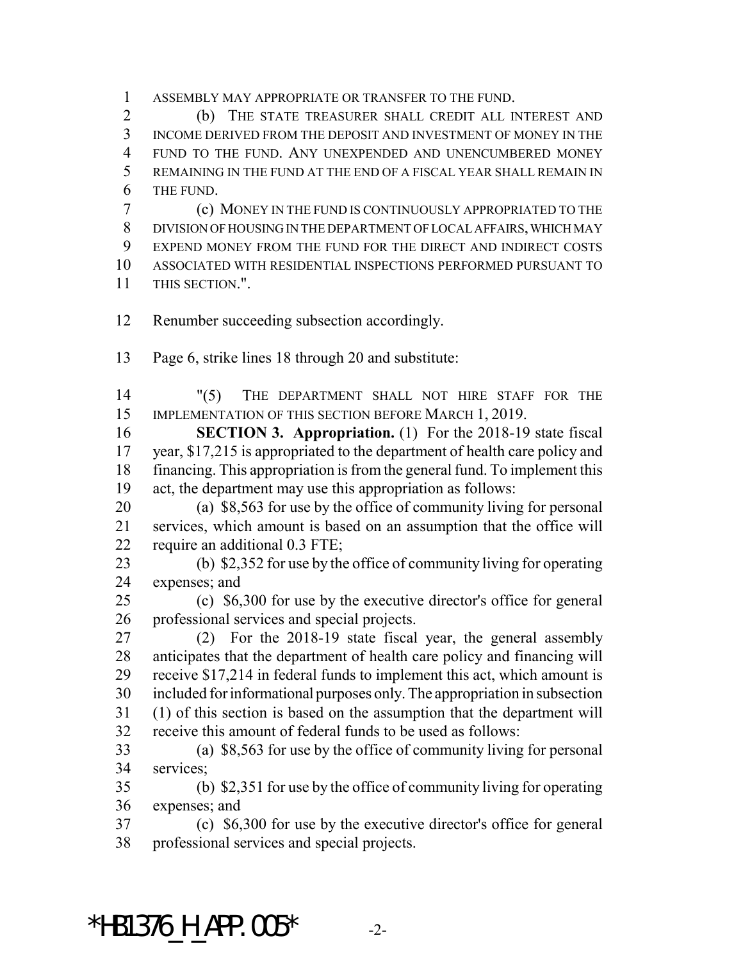ASSEMBLY MAY APPROPRIATE OR TRANSFER TO THE FUND.

 (b) THE STATE TREASURER SHALL CREDIT ALL INTEREST AND INCOME DERIVED FROM THE DEPOSIT AND INVESTMENT OF MONEY IN THE FUND TO THE FUND. ANY UNEXPENDED AND UNENCUMBERED MONEY REMAINING IN THE FUND AT THE END OF A FISCAL YEAR SHALL REMAIN IN THE FUND.

 (c) MONEY IN THE FUND IS CONTINUOUSLY APPROPRIATED TO THE DIVISION OF HOUSING IN THE DEPARTMENT OF LOCAL AFFAIRS, WHICH MAY EXPEND MONEY FROM THE FUND FOR THE DIRECT AND INDIRECT COSTS ASSOCIATED WITH RESIDENTIAL INSPECTIONS PERFORMED PURSUANT TO THIS SECTION.".

Renumber succeeding subsection accordingly.

Page 6, strike lines 18 through 20 and substitute:

 "(5) THE DEPARTMENT SHALL NOT HIRE STAFF FOR THE 15 IMPLEMENTATION OF THIS SECTION BEFORE MARCH 1, 2019.

 **SECTION 3. Appropriation.** (1) For the 2018-19 state fiscal year, \$17,215 is appropriated to the department of health care policy and financing. This appropriation is from the general fund. To implement this act, the department may use this appropriation as follows:

 (a) \$8,563 for use by the office of community living for personal services, which amount is based on an assumption that the office will require an additional 0.3 FTE;

 (b) \$2,352 for use by the office of community living for operating expenses; and

 (c) \$6,300 for use by the executive director's office for general professional services and special projects.

 (2) For the 2018-19 state fiscal year, the general assembly anticipates that the department of health care policy and financing will receive \$17,214 in federal funds to implement this act, which amount is included for informational purposes only. The appropriation in subsection (1) of this section is based on the assumption that the department will receive this amount of federal funds to be used as follows:

 (a) \$8,563 for use by the office of community living for personal services;

 (b) \$2,351 for use by the office of community living for operating expenses; and

 (c) \$6,300 for use by the executive director's office for general professional services and special projects.

## \*HB1376 H APP.005\*  $-2$ -